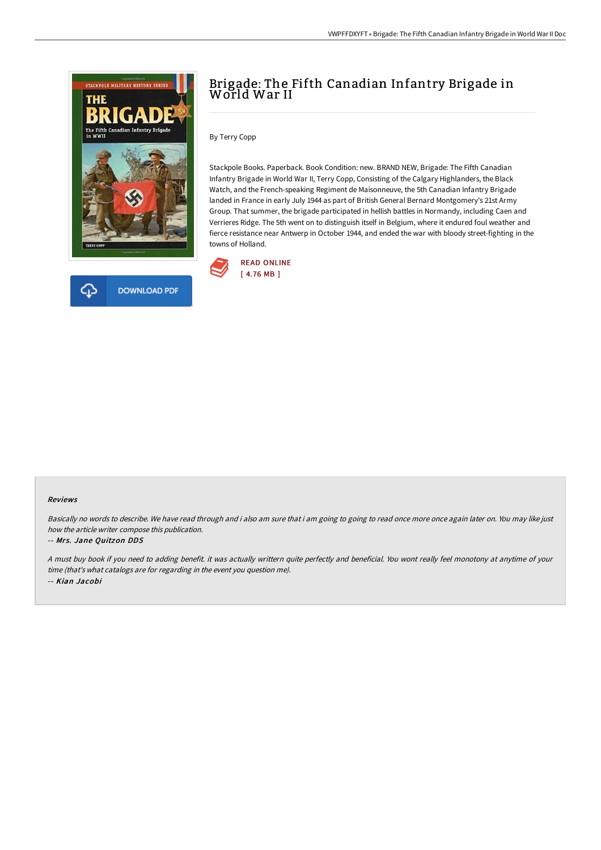



# Brigade: The Fifth Canadian Infantry Brigade in World War II

By Terry Copp

Stackpole Books. Paperback. Book Condition: new. BRAND NEW, Brigade: The Fifth Canadian Infantry Brigade in World War II, Terry Copp, Consisting of the Calgary Highlanders, the Black Watch, and the French-speaking Regiment de Maisonneuve, the 5th Canadian Infantry Brigade landed in France in early July 1944 as part of British General Bernard Montgomery's 21st Army Group. That summer, the brigade participated in hellish battles in Normandy, including Caen and Verrieres Ridge. The 5th went on to distinguish itself in Belgium, where it endured foul weather and fierce resistance near Antwerp in October 1944, and ended the war with bloody street-fighting in the towns of Holland.



#### Reviews

Basically no words to describe. We have read through and i also am sure that i am going to going to read once more once again later on. You may like just how the article writer compose this publication.

#### -- Mrs. Jane Quitzon DDS

<sup>A</sup> must buy book if you need to adding benefit. it was actually writtern quite perfectly and beneficial. You wont really feel monotony at anytime of your time (that's what catalogs are for regarding in the event you question me). -- Kian Jacobi